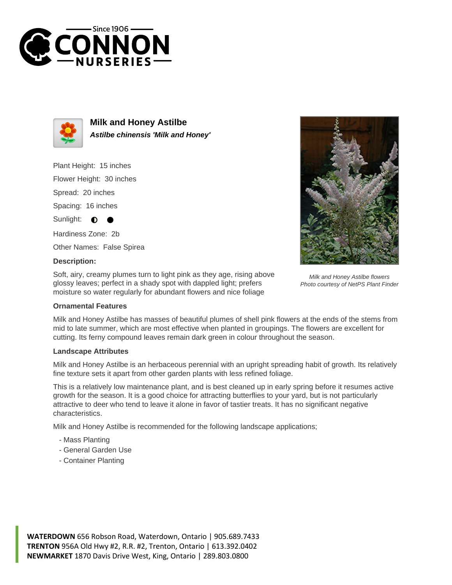



**Milk and Honey Astilbe Astilbe chinensis 'Milk and Honey'**

Plant Height: 15 inches

Flower Height: 30 inches

Spread: 20 inches

Spacing: 16 inches

Sunlight: ∩

Hardiness Zone: 2b

Other Names: False Spirea

## **Description:**

Soft, airy, creamy plumes turn to light pink as they age, rising above glossy leaves; perfect in a shady spot with dappled light; prefers moisture so water regularly for abundant flowers and nice foliage

## **Ornamental Features**

Milk and Honey Astilbe has masses of beautiful plumes of shell pink flowers at the ends of the stems from mid to late summer, which are most effective when planted in groupings. The flowers are excellent for cutting. Its ferny compound leaves remain dark green in colour throughout the season.

## **Landscape Attributes**

Milk and Honey Astilbe is an herbaceous perennial with an upright spreading habit of growth. Its relatively fine texture sets it apart from other garden plants with less refined foliage.

This is a relatively low maintenance plant, and is best cleaned up in early spring before it resumes active growth for the season. It is a good choice for attracting butterflies to your yard, but is not particularly attractive to deer who tend to leave it alone in favor of tastier treats. It has no significant negative characteristics.

Milk and Honey Astilbe is recommended for the following landscape applications;

- Mass Planting
- General Garden Use
- Container Planting

**WATERDOWN** 656 Robson Road, Waterdown, Ontario | 905.689.7433 **TRENTON** 956A Old Hwy #2, R.R. #2, Trenton, Ontario | 613.392.0402 **NEWMARKET** 1870 Davis Drive West, King, Ontario | 289.803.0800



Milk and Honey Astilbe flowers Photo courtesy of NetPS Plant Finder